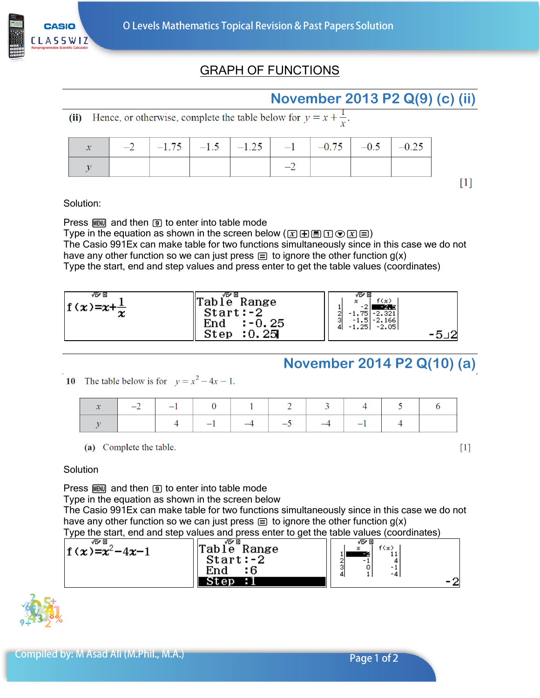

## GRAPH OF FUNCTIONS

## **November 2013 P2 Q(9) (c) (ii)**

(ii) Hence, or otherwise, complete the table below for  $y = x + \frac{1}{x}$ .

|  | $-2$ $-1.75$ $-1.5$ $-1.25$ $-1$ $-0.75$ $-0.5$ $-0.25$ |  |  |  |
|--|---------------------------------------------------------|--|--|--|
|  |                                                         |  |  |  |

 $\lceil 1 \rceil$ 

Solution:

Press  $M$  and then  $\Theta$  to enter into table mode

Type in the equation as shown in the screen below  $(\mathbf{x}|\mathbf{H}|\mathbf{B}|\mathbf{I})\mathbf{C}(\mathbf{x}|\mathbf{E})$ The Casio 991Ex can make table for two functions simultaneously since in this case we do not have any other function so we can just press  $\equiv$  to ignore the other function  $g(x)$ Type the start, end and step values and press enter to get the table values (coordinates)



## **November 2014 P2 Q(10) (a)**

10 The table below is for  $y = x^2 - 4x - 1$ .

| $-2$ $-1$ 0 1 2 3 4 5 6 |  |                                  |  |  |
|-------------------------|--|----------------------------------|--|--|
|                         |  | $4$ $-1$ $-4$ $-5$ $-4$ $-1$ $4$ |  |  |

(a) Complete the table.

 $[1]$ 

Solution

Press  $M$  and then  $\boxed{9}$  to enter into table mode

Type in the equation as shown in the screen below

The Casio 991Ex can make table for two functions simultaneously since in this case we do not have any other function so we can just press  $\equiv$  to ignore the other function  $g(x)$